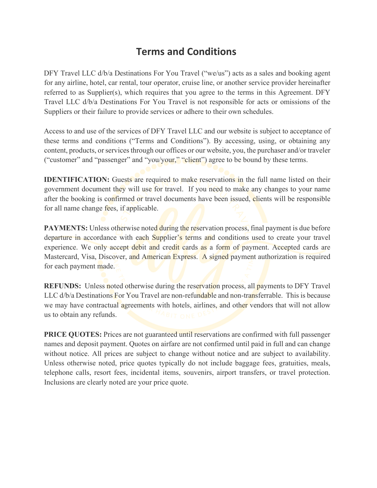# **Terms and Conditions**

DFY Travel LLC d/b/a Destinations For You Travel ("we/us") acts as a sales and booking agent for any airline, hotel, car rental, tour operator, cruise line, or another service provider hereinafter referred to as Supplier(s), which requires that you agree to the terms in this Agreement. DFY Travel LLC d/b/a Destinations For You Travel is not responsible for acts or omissions of the Suppliers or their failure to provide services or adhere to their own schedules.

Access to and use of the services of DFY Travel LLC and our website is subject to acceptance of these terms and conditions ("Terms and Conditions"). By accessing, using, or obtaining any content, products, or services through our offices or our website, you, the purchaser and/or traveler ("customer" and "passenger" and "you/your," "client") agree to be bound by these terms.

**IDENTIFICATION:** Guests are required to make reservations in the full name listed on their government document they will use for travel. If you need to make any changes to your name after the booking is confirmed or travel documents have been issued, clients will be responsible for all name change fees, if applicable.

**PAYMENTS:** Unless otherwise noted during the reservation process, final payment is due before departure in accordance with each Supplier's terms and conditions used to create your travel experience. We only accept debit and credit cards as a form of payment. Accepted cards are Mastercard, Visa, Discover, and American Express. A signed payment authorization is required for each payment made.

**REFUNDS:** Unless noted otherwise during the reservation process, all payments to DFY Travel LLC d/b/a Destinations For You Travel are non-refundable and non-transferrable. This is because we may have contractual agreements with hotels, airlines, and other vendors that will not allow us to obtain any refunds.

**PRICE QUOTES:** Prices are not guaranteed until reservations are confirmed with full passenger names and deposit payment. Quotes on airfare are not confirmed until paid in full and can change without notice. All prices are subject to change without notice and are subject to availability. Unless otherwise noted, price quotes typically do not include baggage fees, gratuities, meals, telephone calls, resort fees, incidental items, souvenirs, airport transfers, or travel protection. Inclusions are clearly noted are your price quote.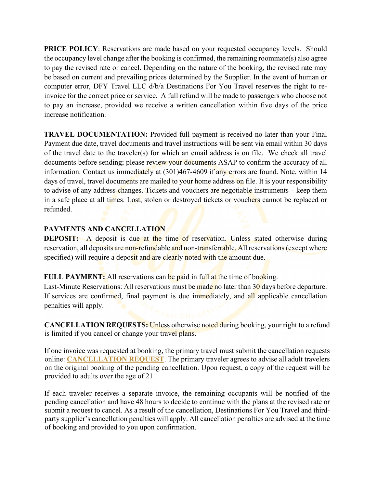**PRICE POLICY**: Reservations are made based on your requested occupancy levels. Should the occupancy level change after the booking is confirmed, the remaining roommate(s) also agree to pay the revised rate or cancel. Depending on the nature of the booking, the revised rate may be based on current and prevailing prices determined by the Supplier. In the event of human or computer error, DFY Travel LLC d/b/a Destinations For You Travel reserves the right to reinvoice for the correct price or service. A full refund will be made to passengers who choose not to pay an increase, provided we receive a written cancellation within five days of the price increase notification.

**TRAVEL DOCUMENTATION:** Provided full payment is received no later than your Final Payment due date, travel documents and travel instructions will be sent via email within 30 days of the travel date to the traveler(s) for which an email address is on file. We check all travel documents before sending; please review your documents ASAP to confirm the accuracy of all information. Contact us immediately at (301)467-4609 if any errors are found. Note, within 14 days of travel, travel documents are mailed to your home address on file. It is your responsibility to advise of any address changes. Tickets and vouchers are negotiable instruments – keep them in a safe place at all times. Lost, stolen or destroyed tickets or vouchers cannot be replaced or refunded.

# **PAYMENTS AND CANCELLATION**

**DEPOSIT:** A deposit is due at the time of reservation. Unless stated otherwise during reservation, all deposits are non-refundable and non-transferrable. All reservations (except where specified) will require a deposit and are clearly noted with the amount due.

**FULL PAYMENT:** All reservations can be paid in full at the time of booking.

Last-Minute Reservations: All reservations must be made no later than 30 days before departure. If services are confirmed, final payment is due immediately, and all applicable cancellation penalties will apply.

**CANCELLATION REQUESTS:** Unless otherwise noted during booking, your right to a refund is limited if you cancel or change your travel plans.

If one invoice was requested at booking, the primary travel must submit the cancellation requests online: **[CANCELLATION REQUEST](https://forms.gle/UzHRMnfCDP2ygQfSA)**. The primary traveler agrees to advise all adult travelers on the original booking of the pending cancellation. Upon request, a copy of the request will be provided to adults over the age of 21.

If each traveler receives a separate invoice, the remaining occupants will be notified of the pending cancellation and have 48 hours to decide to continue with the plans at the revised rate or submit a request to cancel. As a result of the cancellation, Destinations For You Travel and thirdparty supplier's cancellation penalties will apply. All cancellation penalties are advised at the time of booking and provided to you upon confirmation.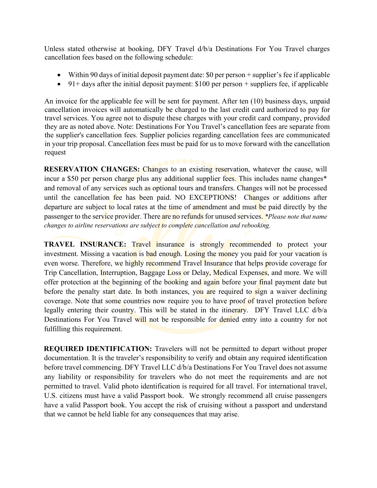Unless stated otherwise at booking, DFY Travel d/b/a Destinations For You Travel charges cancellation fees based on the following schedule:

- Within 90 days of initial deposit payment date: \$0 per person + supplier's fee if applicable
- 91+ days after the initial deposit payment:  $$100$  per person + suppliers fee, if applicable

An invoice for the applicable fee will be sent for payment. After ten (10) business days, unpaid cancellation invoices will automatically be charged to the last credit card authorized to pay for travel services. You agree not to dispute these charges with your credit card company, provided they are as noted above. Note: Destinations For You Travel's cancellation fees are separate from the supplier's cancellation fees. Supplier policies regarding cancellation fees are communicated in your trip proposal. Cancellation fees must be paid for us to move forward with the cancellation request

**RESERVATION CHANGES:** Changes to an existing reservation, whatever the cause, will incur a \$50 per person charge plus any additional supplier fees. This includes name changes<sup>\*</sup> and removal of any services such as optional tours and transfers. Changes will not be processed until the cancellation fee has been paid. NO EXCEPTIONS! Changes or additions after departure are subject to local rates at the time of amendment and must be paid directly by the passenger to the service provider. There are no refunds for unused services. *\*Please note that name changes to airline reservations are subject to complete cancellation and rebooking.*

**TRAVEL INSURANCE:** Travel insurance is strongly recommended to protect your investment. Missing a vacation is bad enough. Losing the money you paid for your vacation is even worse. Therefore, we highly recommend Travel Insurance that helps provide coverage for Trip Cancellation, Interruption, Baggage Loss or Delay, Medical Expenses, and more. We will offer protection at the beginning of the booking and again before your final payment date but before the penalty start date. In both instances, you are required to sign a waiver declining coverage. Note that some countries now require you to have proof of travel protection before legally entering their country. This will be stated in the itinerary. DFY Travel LLC d/b/a Destinations For You Travel will not be responsible for denied entry into a country for not fulfilling this requirement.

**REQUIRED IDENTIFICATION:** Travelers will not be permitted to depart without proper documentation. It is the traveler's responsibility to verify and obtain any required identification before travel commencing. DFY Travel LLC d/b/a Destinations For You Travel does not assume any liability or responsibility for travelers who do not meet the requirements and are not permitted to travel. Valid photo identification is required for all travel. For international travel, U.S. citizens must have a valid Passport book. We strongly recommend all cruise passengers have a valid Passport book. You accept the risk of cruising without a passport and understand that we cannot be held liable for any consequences that may arise.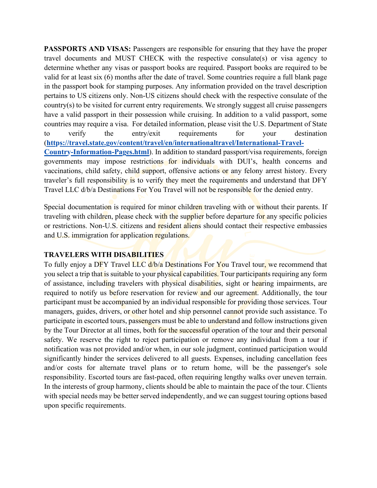**PASSPORTS AND VISAS:** Passengers are responsible for ensuring that they have the proper travel documents and MUST CHECK with the respective consulate(s) or visa agency to determine whether any visas or passport books are required. Passport books are required to be valid for at least six (6) months after the date of travel. Some countries require a full blank page in the passport book for stamping purposes. Any information provided on the travel description pertains to US citizens only. Non-US citizens should check with the respective consulate of the country(s) to be visited for current entry requirements. We strongly suggest all cruise passengers have a valid passport in their possession while cruising. In addition to a valid passport, some countries may require a visa. For detailed information, please visit the U.S. Department of State to verify the entry/exit requirements [for your destination](https://travel.state.gov/content/travel/en/international-travel/International-Travel-Country-Information-Pages.html)  [\(](https://travel.state.gov/content/travel/en/international-travel/International-Travel-Country-Information-Pages.html)**[https://travel.state.gov/content/travel/en/internationaltravel/International-Travel-](https://travel.state.gov/content/travel/en/international-travel/International-Travel-Country-Information-Pages.html)[Country-Information-Pages.html](https://travel.state.gov/content/travel/en/international-travel/International-Travel-Country-Information-Pages.html)**[\). In addition to s](https://travel.state.gov/content/travel/en/international-travel/International-Travel-Country-Information-Pages.html)tandard passport/visa requirements, foreign governments may impose restrictions for individuals with DUI's, health concerns and vaccinations, child safety, child support, offensive actions or any felony arrest history. Every traveler's full responsibility is to verify they meet the requirements and understand that DFY Travel LLC d/b/a Destinations For You Travel will not be responsible for the denied entry.

Special documentation is required for minor children traveling with or without their parents. If traveling with children, please check with the supplier before departure for any specific policies or restrictions. Non-U.S. citizens and resident aliens should contact their respective embassies and U.S. immigration for application regulations.

# **TRAVELERS WITH DISABILITIES**

To fully enjoy a DFY Travel LLC  $d/b/a$  Destinations For You Travel tour, we recommend that you select a trip that is suitable to your physical capabilities. Tour participants requiring any form of assistance, including travelers with physical disabilities, sight or hearing impairments, are required to notify us before reservation for review and our agreement. Additionally, the tour participant must be accompanied by an individual responsible for providing those services. Tour managers, guides, drivers, or other hotel and ship personnel cannot provide such assistance. To participate in escorted tours, passengers must be able to understand and follow instructions given by the Tour Director at all times, both for the successful operation of the tour and their personal safety. We reserve the right to reject participation or remove any individual from a tour if notification was not provided and/or when, in our sole judgment, continued participation would significantly hinder the services delivered to all guests. Expenses, including cancellation fees and/or costs for alternate travel plans or to return home, will be the passenger's sole responsibility. Escorted tours are fast-paced, often requiring lengthy walks over uneven terrain. In the interests of group harmony, clients should be able to maintain the pace of the tour. Clients with special needs may be better served independently, and we can suggest touring options based upon specific requirements.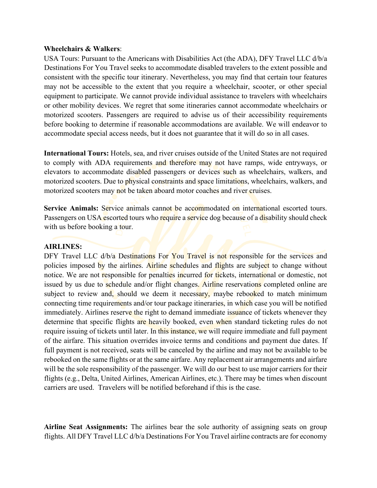#### **Wheelchairs & Walkers**:

USA Tours: Pursuant to the Americans with Disabilities Act (the ADA), DFY Travel LLC d/b/a Destinations For You Travel seeks to accommodate disabled travelers to the extent possible and consistent with the specific tour itinerary. Nevertheless, you may find that certain tour features may not be accessible to the extent that you require a wheelchair, scooter, or other special equipment to participate. We cannot provide individual assistance to travelers with wheelchairs or other mobility devices. We regret that some itineraries cannot accommodate wheelchairs or motorized scooters. Passengers are required to advise us of their accessibility requirements before booking to determine if reasonable accommodations are available. We will endeavor to accommodate special access needs, but it does not guarantee that it will do so in all cases.

**International Tours:** Hotels, sea, and river cruises outside of the United States are not required to comply with ADA requirements and therefore may not have ramps, wide entryways, or elevators to accommodate disabled passengers or devices such as wheelchairs, walkers, and motorized scooters. Due to physical constraints and space limitations, wheelchairs, walkers, and motorized scooters may not be taken aboard motor coaches and river cruises.

**Service Animals:** Service animals cannot be accommodated on international escorted tours. Passengers on USA escorted tours who require a service dog because of a disability should check with us before booking a tour.

# **AIRLINES:**

DFY Travel LLC d/b/a Destinations For You Travel is not responsible for the services and policies imposed by the airlines. Airline schedules and flights are subject to change without notice. We are not responsible for penalties incurred for tickets, international or domestic, not issued by us due to schedule and/or flight changes. Airline reservations completed online are subject to review and, should we deem it necessary, maybe rebooked to match minimum connecting time requirements and/or tour package itineraries, in which case you will be notified immediately. Airlines reserve the right to demand immediate issuance of tickets whenever they determine that specific flights are heavily booked, even when standard ticketing rules do not require issuing of tickets until later. In this instance, we will require immediate and full payment of the airfare. This situation overrides invoice terms and conditions and payment due dates. If full payment is not received, seats will be canceled by the airline and may not be available to be rebooked on the same flights or at the same airfare. Any replacement air arrangements and airfare will be the sole responsibility of the passenger. We will do our best to use major carriers for their flights (e.g., Delta, United Airlines, American Airlines, etc.). There may be times when discount carriers are used. Travelers will be notified beforehand if this is the case.

**Airline Seat Assignments:** The airlines bear the sole authority of assigning seats on group flights. All DFY Travel LLC d/b/a Destinations For You Travel airline contracts are for economy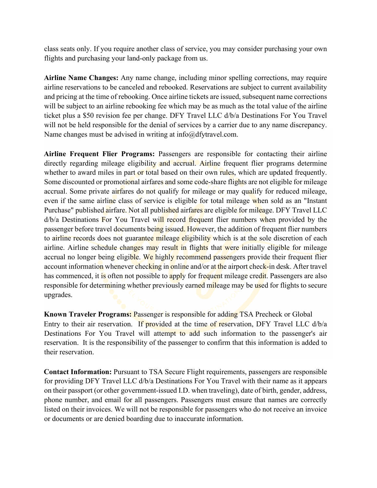class seats only. If you require another class of service, you may consider purchasing your own flights and purchasing your land-only package from us.

**Airline Name Changes:** Any name change, including minor spelling corrections, may require airline reservations to be canceled and rebooked. Reservations are subject to current availability and pricing at the time of rebooking. Once airline tickets are issued, subsequent name corrections will be subject to an airline rebooking fee which may be as much as the total value of the airline ticket plus a \$50 revision fee per change. DFY Travel LLC d/b/a Destinations For You Travel will not be held responsible for the denial of services by a carrier due to any name discrepancy. Name changes must be advised in writing at info@dfytravel.com.

**Airline Frequent Flier Programs:** Passengers are responsible for contacting their airline directly regarding mileage eligibility and accrual. Airline frequent flier programs determine whether to award miles in part or total based on their own rules, which are updated frequently. Some discounted or promotional airfares and some code-share flights are not eligible for mileage accrual. Some private airfares do not qualify for mileage or may qualify for reduced mileage, even if the same airline class of service is eligible for total mileage when sold as an "Instant" Purchase" published airfare. Not all published airfares are eligible for mileage. DFY Travel LLC d/b/a Destinations For You Travel will record frequent flier numbers when provided by the passenger before travel documents being issued. However, the addition of frequent flier numbers to airline records does not guarantee mileage eligibility which is at the sole discretion of each airline. Airline schedule changes may result in flights that were initially eligible for mileage accrual no longer being eligible. We highly recommend passengers provide their frequent flier account information whenever checking in online and/or at the airport check-in desk. After travel has commenced, it is often not possible to apply for frequent mileage credit. Passengers are also responsible for determining whether previously earned mileage may be used for flights to secure upgrades.

**Known Traveler Programs:** Passenger is responsible for adding TSA Precheck or Global Entry to their air reservation. If provided at the time of reservation, DFY Travel LLC d/b/a Destinations For You Travel will attempt to add such information to the passenger's air reservation. It is the responsibility of the passenger to confirm that this information is added to their reservation.

**Contact Information:** Pursuant to TSA Secure Flight requirements, passengers are responsible for providing DFY Travel LLC d/b/a Destinations For You Travel with their name as it appears on their passport (or other government-issued I.D. when traveling), date of birth, gender, address, phone number, and email for all passengers. Passengers must ensure that names are correctly listed on their invoices. We will not be responsible for passengers who do not receive an invoice or documents or are denied boarding due to inaccurate information.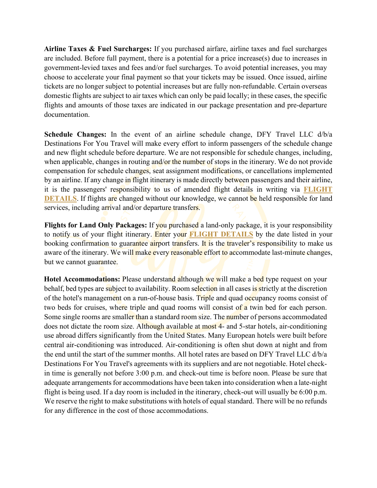**Airline Taxes & Fuel Surcharges:** If you purchased airfare, airline taxes and fuel surcharges are included. Before full payment, there is a potential for a price increase(s) due to increases in government-levied taxes and fees and/or fuel surcharges. To avoid potential increases, you may choose to accelerate your final payment so that your tickets may be issued. Once issued, airline tickets are no longer subject to potential increases but are fully non-refundable. Certain overseas domestic flights are subject to air taxes which can only be paid locally; in these cases, the specific flights and amounts of those taxes are indicated in our package presentation and pre-departure documentation.

**Schedule Changes:** In the event of an airline schedule change, DFY Travel LLC d/b/a Destinations For You Travel will make every effort to inform passengers of the schedule change and new flight schedule before departure. We are not responsible for schedule changes, including, when applicable, changes in routing and/or the number of stops in the itinerary. We do not provide compensation for schedule changes, seat assignment modifications, or cancellations implemented by an airline. If any change in flight itinerary is made directly between passengers and their airline, it is the passengers' responsibility to us of amended flight details in writing via **[FLIGHT](https://forms.gle/GwnL6ws662JPc5Zk8)  [DETAILS](https://forms.gle/GwnL6ws662JPc5Zk8)**. If flights are changed without our knowledge, we cannot be held responsible for land services, including arrival and/or departure transfers.

**Flights for Land Only Packages:** If you purchased a land-only package, it is your responsibility to notify us of your flight itinerary. Enter your **[FLIGHT DETAILS](https://forms.gle/GwnL6ws662JPc5Zk8)** by the date listed in your booking confirmation to guarantee airport transfers. It is the traveler's responsibility to make us aware of the itinerary. We will make every reasonable effort to accommodate last-minute changes, but we cannot guarantee.

**Hotel Accommodations:** Please understand although we will make a bed type request on your behalf, bed types are subject to availability. Room selection in all cases is strictly at the discretion of the hotel's management on a run-of-house basis. Triple and quad occupancy rooms consist of two beds for cruises, where triple and quad rooms will consist of a twin bed for each person. Some single rooms are smaller than a standard room size. The number of persons accommodated does not dictate the room size. Although available at most 4- and 5-star hotels, air-conditioning use abroad differs significantly from the United States. Many European hotels were built before central air-conditioning was introduced. Air-conditioning is often shut down at night and from the end until the start of the summer months. All hotel rates are based on DFY Travel LLC d/b/a Destinations For You Travel's agreements with its suppliers and are not negotiable. Hotel checkin time is generally not before 3:00 p.m. and check-out time is before noon. Please be sure that adequate arrangements for accommodations have been taken into consideration when a late-night flight is being used. If a day room is included in the itinerary, check-out will usually be 6:00 p.m. We reserve the right to make substitutions with hotels of equal standard. There will be no refunds for any difference in the cost of those accommodations.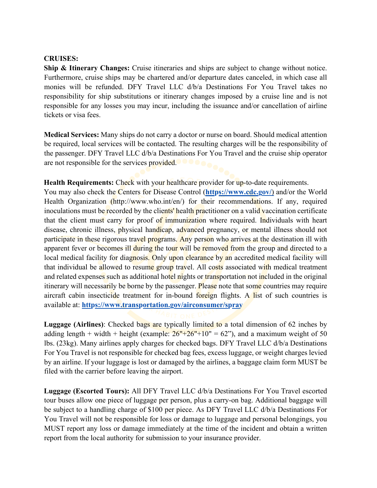### **CRUISES:**

**Ship & Itinerary Changes:** Cruise itineraries and ships are subject to change without notice. Furthermore, cruise ships may be chartered and/or departure dates canceled, in which case all monies will be refunded. DFY Travel LLC d/b/a Destinations For You Travel takes no responsibility for ship substitutions or itinerary changes imposed by a cruise line and is not responsible for any losses you may incur, including the issuance and/or cancellation of airline tickets or visa fees.

**Medical Services:** Many ships do not carry a doctor or nurse on board. Should medical attention be required, local services will be contacted. The resulting charges will be the responsibility of the passenger. DFY Travel LLC d/b/a Destinations For You Travel and the cruise ship operator are not responsible for the services provided.

**Health Requirements:** Check with your healthcare provider for up-to-date requirements.

You may also check the Centers for Disease Control (**<https://www.cdc.gov/>**[\)](https://www.cdc.gov/) [a](https://www.cdc.gov/)nd/or the World Health Organization (http://www.who.int/en/) for their recommendations. If any, required inoculations must be recorded by the clients' health practitioner on a valid vaccination certificate that the client must carry for proof of immunization where required. Individuals with heart disease, chronic illness, physical handicap, advanced pregnancy, or mental illness should not participate in these rigorous travel programs. Any person who arrives at the destination ill with apparent fever or becomes ill during the tour will be removed from the group and directed to a local medical facility for diagnosis. Only upon clearance by an accredited medical facility will that individual be allowed to resume group travel. All costs associated with medical treatment and related expenses such as additional hotel nights or transportation not included in the original itinerary will necessarily be borne by the passenger. Please note that some countries may require aircraft cabin insecticide treatment for in-bound foreign flights. A list of such countries is available at: **<https://www.transportation.gov/airconsumer/spray>**

**Luggage (Airlines)**: Checked bags are typically limited to a total dimension of 62 inches by adding length + width + height (example:  $26" + 26" + 10" = 62$ "), and a maximum weight of 50 lbs. (23kg). Many airlines apply charges for checked bags. DFY Travel LLC d/b/a Destinations For You Travel is not responsible for checked bag fees, excess luggage, or weight charges levied by an airline. If your luggage is lost or damaged by the airlines, a baggage claim form MUST be filed with the carrier before leaving the airport.

**Luggage (Escorted Tours):** All DFY Travel LLC d/b/a Destinations For You Travel escorted tour buses allow one piece of luggage per person, plus a carry-on bag. Additional baggage will be subject to a handling charge of \$100 per piece. As DFY Travel LLC d/b/a Destinations For You Travel will not be responsible for loss or damage to luggage and personal belongings, you MUST report any loss or damage immediately at the time of the incident and obtain a written report from the local authority for submission to your insurance provider.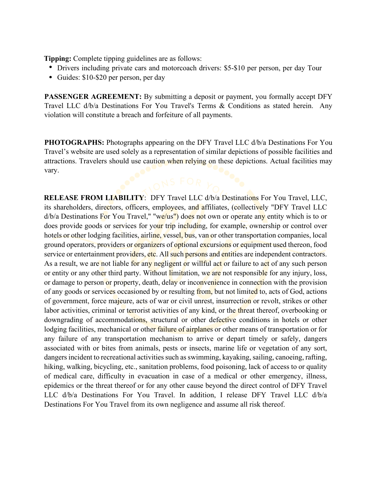**Tipping:** Complete tipping guidelines are as follows:

- Drivers including private cars and motorcoach drivers: \$5-\$10 per person, per day Tour
- Guides: \$10-\$20 per person, per day

**PASSENGER AGREEMENT:** By submitting a deposit or payment, you formally accept DFY Travel LLC d/b/a Destinations For You Travel's Terms & Conditions as stated herein. Any violation will constitute a breach and forfeiture of all payments.

**PHOTOGRAPHS:** Photographs appearing on the DFY Travel LLC d/b/a Destinations For You Travel's website are used solely as a representation of similar depictions of possible facilities and attractions. Travelers should use caution when relying on these depictions. Actual facilities may vary.

**RELEASE FROM LIABILITY**: DFY Travel LLC d/b/a Destinations For You Travel, LLC, its shareholders, directors, officers, employees, and affiliates, (collectively "DFY Travel LLC  $d/b/a$  Destinations For You Travel," "we/us") does not own or operate any entity which is to or does provide goods or services for your trip including, for example, ownership or control over hotels or other lodging facilities, airline, vessel, bus, van or other transportation companies, local ground operators, providers or organizers of optional excursions or equipment used thereon, food service or entertainment providers, etc. All such persons and entities are independent contractors. As a result, we are not liable for any negligent or willful act or failure to act of any such person or entity or any other third party. Without limitation, we are not responsible for any injury, loss, or damage to person or property, death, delay or inconvenience in connection with the provision of any goods or services occasioned by or resulting from, but not limited to, acts of God, actions of government, force majeure, acts of war or civil unrest, insurrection or revolt, strikes or other labor activities, criminal or terrorist activities of any kind, or the threat thereof, overbooking or downgrading of accommodations, structural or other defective conditions in hotels or other lodging facilities, mechanical or other failure of airplanes or other means of transportation or for any failure of any transportation mechanism to arrive or depart timely or safely, dangers associated with or bites from animals, pests or insects, marine life or vegetation of any sort, dangers incident to recreational activities such as swimming, kayaking, sailing, canoeing, rafting, hiking, walking, bicycling, etc., sanitation problems, food poisoning, lack of access to or quality of medical care, difficulty in evacuation in case of a medical or other emergency, illness, epidemics or the threat thereof or for any other cause beyond the direct control of DFY Travel LLC d/b/a Destinations For You Travel. In addition, I release DFY Travel LLC d/b/a Destinations For You Travel from its own negligence and assume all risk thereof.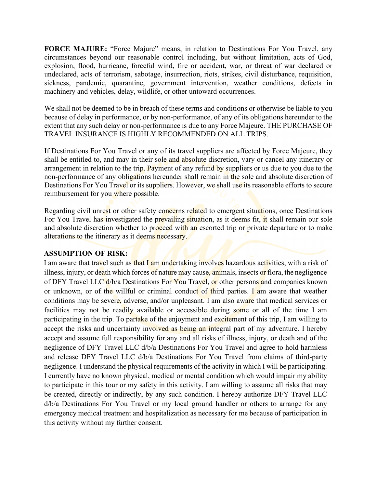**FORCE MAJURE:** "Force Majure" means, in relation to Destinations For You Travel, any circumstances beyond our reasonable control including, but without limitation, acts of God, explosion, flood, hurricane, forceful wind, fire or accident, war, or threat of war declared or undeclared, acts of terrorism, sabotage, insurrection, riots, strikes, civil disturbance, requisition, sickness, pandemic, quarantine, government intervention, weather conditions, defects in machinery and vehicles, delay, wildlife, or other untoward occurrences.

We shall not be deemed to be in breach of these terms and conditions or otherwise be liable to you because of delay in performance, or by non-performance, of any of its obligations hereunder to the extent that any such delay or non-performance is due to any Force Majeure. THE PURCHASE OF TRAVEL INSURANCE IS HIGHLY RECOMMENDED ON ALL TRIPS.

If Destinations For You Travel or any of its travel suppliers are affected by Force Majeure, they shall be entitled to, and may in their sole and absolute discretion, vary or cancel any itinerary or arrangement in relation to the trip. Payment of any refund by suppliers or us due to you due to the non-performance of any obligations hereunder shall remain in the sole and absolute discretion of Destinations For You Travel or its suppliers. However, we shall use its reasonable efforts to secure reimbursement for you where possible.

Regarding civil unrest or other safety concerns related to emergent situations, once Destinations For You Travel has investigated the prevailing situation, as it deems fit, it shall remain our sole and absolute discretion whether to proceed with an escorted trip or private departure or to make alterations to the itinerary as it deems necessary.

# **ASSUMPTION OF RISK:**

I am aware that travel such as that I am undertaking involves hazardous activities, with a risk of illness, injury, or death which forces of nature may cause, animals, insects or flora, the negligence of DFY Travel LLC  $d/b/a$  Destinations For You Travel, or other persons and companies known or unknown, or of the willful or criminal conduct of third parties. I am aware that weather conditions may be severe, adverse, and/or unpleasant. I am also aware that medical services or facilities may not be readily available or accessible during some or all of the time I am participating in the trip. To partake of the enjoyment and excitement of this trip, I am willing to accept the risks and uncertainty involved as being an integral part of my adventure. I hereby accept and assume full responsibility for any and all risks of illness, injury, or death and of the negligence of DFY Travel LLC d/b/a Destinations For You Travel and agree to hold harmless and release DFY Travel LLC d/b/a Destinations For You Travel from claims of third-party negligence. I understand the physical requirements of the activity in which I will be participating. I currently have no known physical, medical or mental condition which would impair my ability to participate in this tour or my safety in this activity. I am willing to assume all risks that may be created, directly or indirectly, by any such condition. I hereby authorize DFY Travel LLC d/b/a Destinations For You Travel or my local ground handler or others to arrange for any emergency medical treatment and hospitalization as necessary for me because of participation in this activity without my further consent.